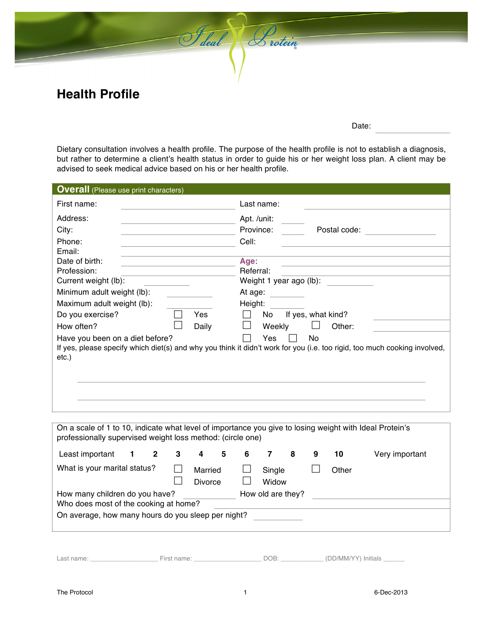

Date:

Dietary consultation involves a health profile. The purpose of the health profile is not to establish a diagnosis, but rather to determine a client's health status in order to guide his or her weight loss plan. A client may be advised to seek medical advice based on his or her health profile.

Saleal Protein

| <b>Overall</b> (Please use print characters) |                                                                                                                                        |
|----------------------------------------------|----------------------------------------------------------------------------------------------------------------------------------------|
| First name:                                  | Last name:                                                                                                                             |
| Address:                                     | Apt. /unit:                                                                                                                            |
| City:                                        | Province:<br>Postal code:                                                                                                              |
| Phone:                                       | Cell:                                                                                                                                  |
| Email:                                       |                                                                                                                                        |
| Date of birth:                               | Age:                                                                                                                                   |
| Profession:                                  | Referral:                                                                                                                              |
| Current weight (lb):                         | Weight 1 year ago (lb):                                                                                                                |
| Minimum adult weight (lb):                   | At age:                                                                                                                                |
| Maximum adult weight (lb):                   | Height:                                                                                                                                |
| Do you exercise?<br>Yes                      | If yes, what kind?<br>No.                                                                                                              |
| How often?<br>Daily                          | Weekly<br>Other:                                                                                                                       |
| Have you been on a diet before?<br>etc.)     | No<br>Yes<br>If yes, please specify which diet(s) and why you think it didn't work for you (i.e. too rigid, too much cooking involved, |
|                                              |                                                                                                                                        |
|                                              |                                                                                                                                        |

| On a scale of 1 to 10, indicate what level of importance you give to losing weight with Ideal Protein's<br>professionally supervised weight loss method: (circle one) |                                                    |   |    |                    |   |   |                 |   |   |       |                |
|-----------------------------------------------------------------------------------------------------------------------------------------------------------------------|----------------------------------------------------|---|----|--------------------|---|---|-----------------|---|---|-------|----------------|
| Least important                                                                                                                                                       |                                                    | 2 | -3 | 4                  | 5 | 6 |                 | 8 | 9 | 10    | Very important |
| What is your marital status?                                                                                                                                          |                                                    |   |    | Married<br>Divorce |   |   | Single<br>Widow |   |   | Other |                |
| How many children do you have?<br>How old are they?<br>Who does most of the cooking at home?                                                                          |                                                    |   |    |                    |   |   |                 |   |   |       |                |
|                                                                                                                                                                       | On average, how many hours do you sleep per night? |   |    |                    |   |   |                 |   |   |       |                |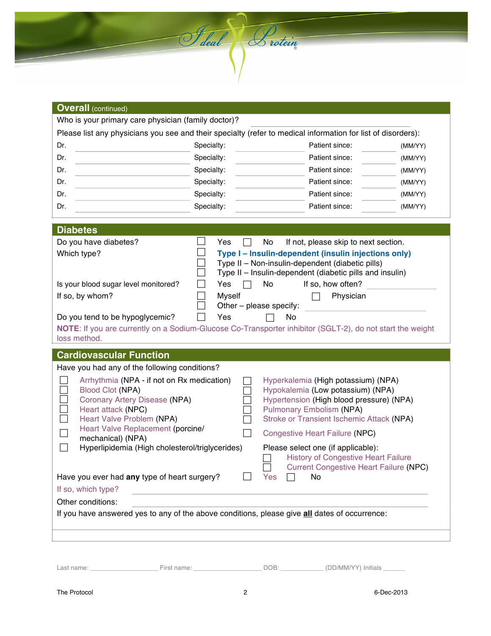|                                                                                                                                                                                                                                                 |            | Please list any physicians you see and their specialty (refer to medical information for list of disorders): |         |
|-------------------------------------------------------------------------------------------------------------------------------------------------------------------------------------------------------------------------------------------------|------------|--------------------------------------------------------------------------------------------------------------|---------|
| Dr.                                                                                                                                                                                                                                             | Specialty: | Patient since:                                                                                               | (MM/YY) |
| Dr.                                                                                                                                                                                                                                             | Specialty: | Patient since:                                                                                               | (MM/YY) |
| Dr.                                                                                                                                                                                                                                             | Specialty: | Patient since:                                                                                               | (MM/YY) |
| Dr.                                                                                                                                                                                                                                             | Specialty: | Patient since:                                                                                               | (MM/YY) |
| Dr.                                                                                                                                                                                                                                             | Specialty: | Patient since:                                                                                               | (MM/YY) |
| Dr.                                                                                                                                                                                                                                             | Specialty: | Patient since:                                                                                               | (MM/YY) |
| <b>Diabetes</b>                                                                                                                                                                                                                                 |            |                                                                                                              |         |
| Do you have diabetes?                                                                                                                                                                                                                           | Yes        | No<br>If not, please skip to next section.                                                                   |         |
| Which type?                                                                                                                                                                                                                                     |            | Type I - Insulin-dependent (insulin injections only)                                                         |         |
|                                                                                                                                                                                                                                                 |            | Type II - Non-insulin-dependent (diabetic pills)<br>Type II - Insulin-dependent (diabetic pills and insulin) |         |
| Is your blood sugar level monitored?                                                                                                                                                                                                            |            |                                                                                                              |         |
|                                                                                                                                                                                                                                                 |            |                                                                                                              |         |
|                                                                                                                                                                                                                                                 | Yes        | If so, how often?<br>No<br>$\mathsf{L}$                                                                      |         |
| If so, by whom?                                                                                                                                                                                                                                 | Myself     | Physician<br>Other - please specify:                                                                         |         |
|                                                                                                                                                                                                                                                 | Yes        | No                                                                                                           |         |
|                                                                                                                                                                                                                                                 |            |                                                                                                              |         |
|                                                                                                                                                                                                                                                 |            |                                                                                                              |         |
|                                                                                                                                                                                                                                                 |            |                                                                                                              |         |
| Do you tend to be hypoglycemic?<br>NOTE: If you are currently on a Sodium-Glucose Co-Transporter inhibitor (SGLT-2), do not start the weight<br>loss method.<br><b>Cardiovascular Function</b><br>Have you had any of the following conditions? |            |                                                                                                              |         |
| Arrhythmia (NPA - if not on Rx medication)                                                                                                                                                                                                      |            | Hyperkalemia (High potassium) (NPA)                                                                          |         |
| <b>Blood Clot (NPA)</b>                                                                                                                                                                                                                         |            | Hypokalemia (Low potassium) (NPA)                                                                            |         |
| Coronary Artery Disease (NPA)                                                                                                                                                                                                                   |            | Hypertension (High blood pressure) (NPA)                                                                     |         |
| Heart attack (NPC)<br>Heart Valve Problem (NPA)                                                                                                                                                                                                 |            | <b>Pulmonary Embolism (NPA)</b>                                                                              |         |
| Heart Valve Replacement (porcine/                                                                                                                                                                                                               |            | Stroke or Transient Ischemic Attack (NPA)                                                                    |         |
| mechanical) (NPA)                                                                                                                                                                                                                               |            | Congestive Heart Failure (NPC)                                                                               |         |
| Hyperlipidemia (High cholesterol/triglycerides)                                                                                                                                                                                                 |            | Please select one (if applicable):                                                                           |         |
|                                                                                                                                                                                                                                                 |            | <b>History of Congestive Heart Failure</b><br><b>Current Congestive Heart Failure (NPC)</b>                  |         |
|                                                                                                                                                                                                                                                 |            | No<br>Yes                                                                                                    |         |
| Have you ever had any type of heart surgery?<br>If so, which type?                                                                                                                                                                              |            |                                                                                                              |         |

S deal Protein

| Last name: | nomo:<br>irst<br>танк<br>. | )OB | ו (MM/YY/)<br>Initials |
|------------|----------------------------|-----|------------------------|
|            |                            |     |                        |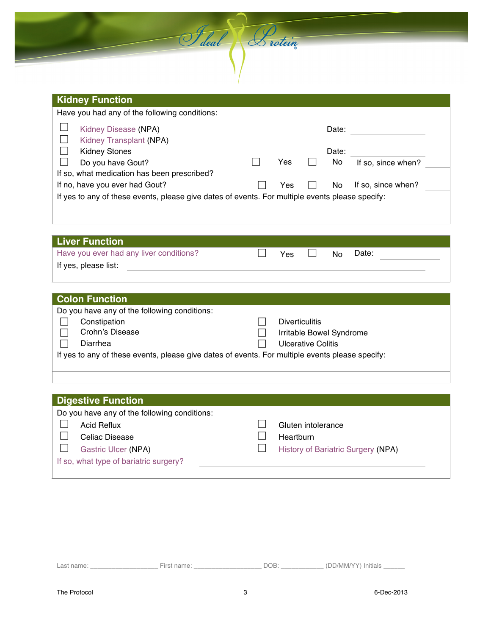| <b>Kidney Function</b><br>Have you had any of the following conditions:                         |     |       |                    |
|-------------------------------------------------------------------------------------------------|-----|-------|--------------------|
| Kidney Disease (NPA)<br>Kidney Transplant (NPA)                                                 |     | Date: |                    |
| <b>Kidney Stones</b>                                                                            |     | Date: |                    |
| Do you have Gout?<br>If so, what medication has been prescribed?                                | Yes | No.   | If so, since when? |
| If no, have you ever had Gout?                                                                  | Yes | No.   | If so, since when? |
| If yes to any of these events, please give dates of events. For multiple events please specify: |     |       |                    |

| <b>Liver Function</b>                   |      |    |       |  |
|-----------------------------------------|------|----|-------|--|
| Have you ever had any liver conditions? | Yes. | No | Date: |  |
| If yes, please list:                    |      |    |       |  |
|                                         |      |    |       |  |

| <b>Colon Function</b>                                                                           |                           |
|-------------------------------------------------------------------------------------------------|---------------------------|
| Do you have any of the following conditions:                                                    |                           |
| Constipation                                                                                    | <b>Diverticulitis</b>     |
| Crohn's Disease                                                                                 | Irritable Bowel Syndrome  |
| Diarrhea                                                                                        | <b>Ulcerative Colitis</b> |
| If yes to any of these events, please give dates of events. For multiple events please specify: |                           |
|                                                                                                 |                           |
|                                                                                                 |                           |

| <b>Digestive Function</b>                    |                                    |
|----------------------------------------------|------------------------------------|
| Do you have any of the following conditions: |                                    |
| <b>Acid Reflux</b>                           | Gluten intolerance                 |
| Celiac Disease                               | Heartburn                          |
| <b>Gastric Ulcer (NPA)</b>                   | History of Bariatric Surgery (NPA) |
| If so, what type of bariatric surgery?       |                                    |
|                                              |                                    |

| DΒ<br>--<br>∟ast name:<br>First<br>n<br>$\mathcal{Y}$<br><u>idilil</u><br>$\tilde{\phantom{a}}$ | Initials<br>$\Delta$<br>-/MM/ |
|-------------------------------------------------------------------------------------------------|-------------------------------|
|-------------------------------------------------------------------------------------------------|-------------------------------|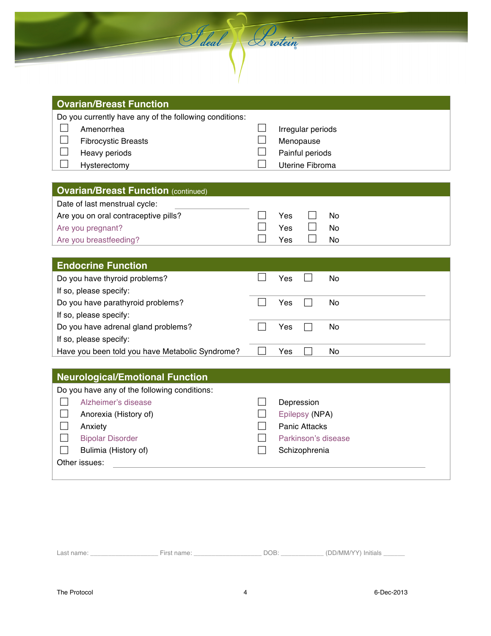| Do you currently have any of the following conditions:<br>$\Box$<br>Amenorrhea<br><b>Fibrocystic Breasts</b><br>$\vert \ \ \vert$<br>Heavy periods<br>$\overline{\phantom{0}}$<br>Hysterectomy |        | Irregular periods<br>Menopause<br>Painful periods<br>Uterine Fibroma |
|------------------------------------------------------------------------------------------------------------------------------------------------------------------------------------------------|--------|----------------------------------------------------------------------|
| <b>Ovarian/Breast Function (continued)</b>                                                                                                                                                     |        |                                                                      |
| Date of last menstrual cycle:<br>Are you on oral contraceptive pills?<br>Are you pregnant?<br>Are you breastfeeding?                                                                           |        | Yes<br>No<br><b>No</b><br>Yes<br>No<br>Yes                           |
| <b>Endocrine Function</b>                                                                                                                                                                      |        |                                                                      |
| Do you have thyroid problems?                                                                                                                                                                  | ΙI     | Yes<br>No                                                            |
| If so, please specify:                                                                                                                                                                         |        |                                                                      |
| Do you have parathyroid problems?                                                                                                                                                              |        | Yes<br>No                                                            |
| If so, please specify:                                                                                                                                                                         |        |                                                                      |
| Do you have adrenal gland problems?                                                                                                                                                            | $\Box$ | No<br>Yes                                                            |
| If so, please specify:                                                                                                                                                                         |        |                                                                      |
| Have you been told you have Metabolic Syndrome?                                                                                                                                                |        | <b>No</b><br>Yes                                                     |
| <b>Neurological/Emotional Function</b>                                                                                                                                                         |        |                                                                      |
| Do you have any of the following conditions:                                                                                                                                                   |        |                                                                      |
| Alzheimer's disease<br>$\blacksquare$                                                                                                                                                          |        | Depression                                                           |
| Anorexia (History of)                                                                                                                                                                          |        | Epilepsy (NPA)                                                       |
| Anxiety<br>$\Box$                                                                                                                                                                              |        | <b>Panic Attacks</b>                                                 |
| $\vert \ \ \vert$<br><b>Bipolar Disorder</b>                                                                                                                                                   |        | Parkinson's disease                                                  |
| Bulimia (History of)                                                                                                                                                                           |        | Schizophrenia                                                        |

Seleal Protein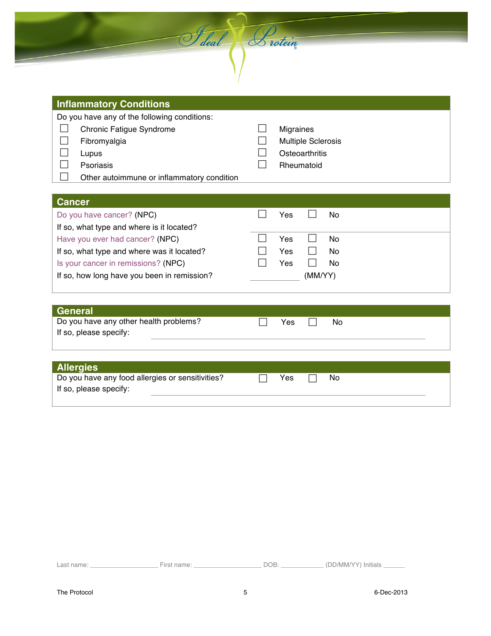| deal | D rotein |
|------|----------|
|      |          |
|      |          |

| <b>Inflammatory Conditions</b>                                                                                                                               |                                                                               |
|--------------------------------------------------------------------------------------------------------------------------------------------------------------|-------------------------------------------------------------------------------|
| Do you have any of the following conditions:<br>Chronic Fatigue Syndrome<br>Fibromyalgia<br>Lupus<br>Psoriasis<br>Other autoimmune or inflammatory condition | <b>Migraines</b><br><b>Multiple Sclerosis</b><br>Osteoarthritis<br>Rheumatoid |
| <b>Cancer</b>                                                                                                                                                |                                                                               |
| Do you have cancer? (NPC)                                                                                                                                    | Yes<br>No                                                                     |
| If so, what type and where is it located?                                                                                                                    |                                                                               |
| Have you ever had cancer? (NPC)                                                                                                                              | Yes<br>No                                                                     |
| If so, what type and where was it located?                                                                                                                   | Yes<br>No                                                                     |
| Is your cancer in remissions? (NPC)                                                                                                                          | No<br>Yes                                                                     |
| If so, how long have you been in remission?                                                                                                                  | (MM/YY)                                                                       |
|                                                                                                                                                              |                                                                               |
| <b>General</b>                                                                                                                                               |                                                                               |
| Do you have any other health problems?<br>If so, please specify:                                                                                             | No<br>Yes                                                                     |

| <b>Allergies</b>                                                           |     |    |
|----------------------------------------------------------------------------|-----|----|
| Do you have any food allergies or sensitivities?<br>If so, please specify: | Yes | No |
|                                                                            |     |    |

| Last name: | First name: | OR: | (DD/MM/YY) Initials |
|------------|-------------|-----|---------------------|
|------------|-------------|-----|---------------------|

 $\mathcal{L}^{\text{max}}_{\text{max}}$  and  $\mathcal{L}^{\text{max}}_{\text{max}}$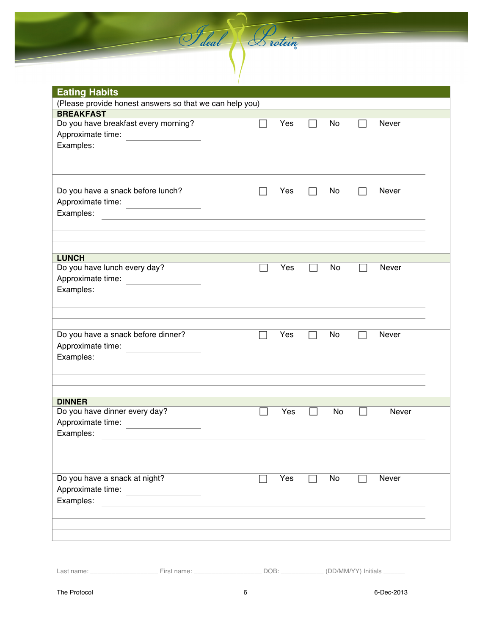**Eating Habits** (Please provide honest answers so that we can help you) **BREAKFAST** Do you have breakfast every morning? The Monton State Monton Never Approximate time: Examples: Do you have a snack before lunch?  $\Box$  Yes  $\Box$  No  $\Box$  Never Approximate time: Examples: **LUNCH** Do you have lunch every day?  $\Box$  Yes  $\Box$  No  $\Box$  Never Approximate time: Examples: Do you have a snack before dinner?  $\Box$  Yes  $\Box$  No  $\Box$  Never Approximate time: Examples: **DINNER** Do you have dinner every day?  $\Box$  Yes  $\Box$  No  $\Box$  Never Approximate time: Examples: examples: examples: examples: examples: examples: examples: examples: examples: examples: examples:  $\sim$ Do you have a snack at night? <br>
and the state of the Second Second Second Second Second Second Second Second Second Second Second Second Second Second Second Second Second Second Second Second Second Second Second Second S Approximate time: Examples:

Seal & rotein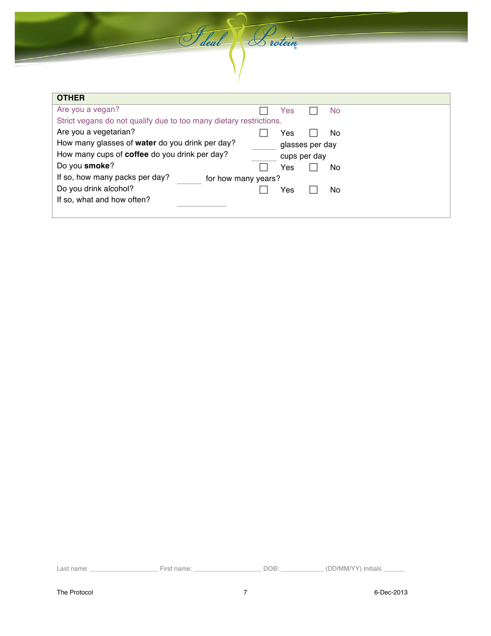|                                                                    | rotein                       |
|--------------------------------------------------------------------|------------------------------|
|                                                                    |                              |
|                                                                    |                              |
|                                                                    |                              |
| <b>OTHER</b>                                                       |                              |
| Are you a vegan?                                                   | N <sub>o</sub><br><b>Yes</b> |
| Strict vegans do not qualify due to too many dietary restrictions. |                              |
| Are you a vegetarian?                                              | No.<br>Yes                   |
| How many glasses of water do you drink per day?                    | glasses per day              |
| How many cups of coffee do you drink per day?                      | cups per day                 |
| Do you smoke?                                                      | Yes<br>No.                   |
| If so, how many packs per day?                                     | for how many years?          |
| Do you drink alcohol?                                              | No.<br>Yes                   |
|                                                                    |                              |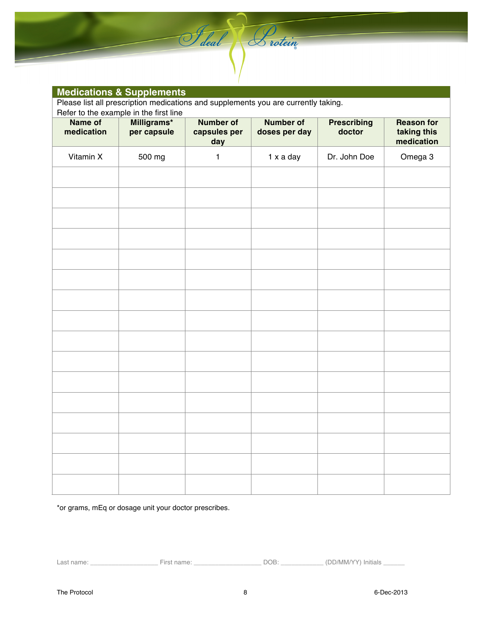|                       | <b>Medications &amp; Supplements</b>   |                                         |                                                                                    |                              |                                                |
|-----------------------|----------------------------------------|-----------------------------------------|------------------------------------------------------------------------------------|------------------------------|------------------------------------------------|
|                       |                                        |                                         | Please list all prescription medications and supplements you are currently taking. |                              |                                                |
|                       | Refer to the example in the first line |                                         |                                                                                    |                              |                                                |
| Name of<br>medication | Milligrams*<br>per capsule             | <b>Number of</b><br>capsules per<br>day | <b>Number of</b><br>doses per day                                                  | <b>Prescribing</b><br>doctor | <b>Reason for</b><br>taking this<br>medication |
| Vitamin X             | 500 mg                                 | $\mathbf{1}$                            | 1 x a day                                                                          | Dr. John Doe                 | Omega 3                                        |
|                       |                                        |                                         |                                                                                    |                              |                                                |
|                       |                                        |                                         |                                                                                    |                              |                                                |
|                       |                                        |                                         |                                                                                    |                              |                                                |
|                       |                                        |                                         |                                                                                    |                              |                                                |
|                       |                                        |                                         |                                                                                    |                              |                                                |
|                       |                                        |                                         |                                                                                    |                              |                                                |
|                       |                                        |                                         |                                                                                    |                              |                                                |
|                       |                                        |                                         |                                                                                    |                              |                                                |
|                       |                                        |                                         |                                                                                    |                              |                                                |
|                       |                                        |                                         |                                                                                    |                              |                                                |
|                       |                                        |                                         |                                                                                    |                              |                                                |
|                       |                                        |                                         |                                                                                    |                              |                                                |
|                       |                                        |                                         |                                                                                    |                              |                                                |
|                       |                                        |                                         |                                                                                    |                              |                                                |
|                       |                                        |                                         |                                                                                    |                              |                                                |
|                       |                                        |                                         |                                                                                    |                              |                                                |
|                       |                                        |                                         |                                                                                    |                              |                                                |

Felal Protein

\*or grams, mEq or dosage unit your doctor prescribes.